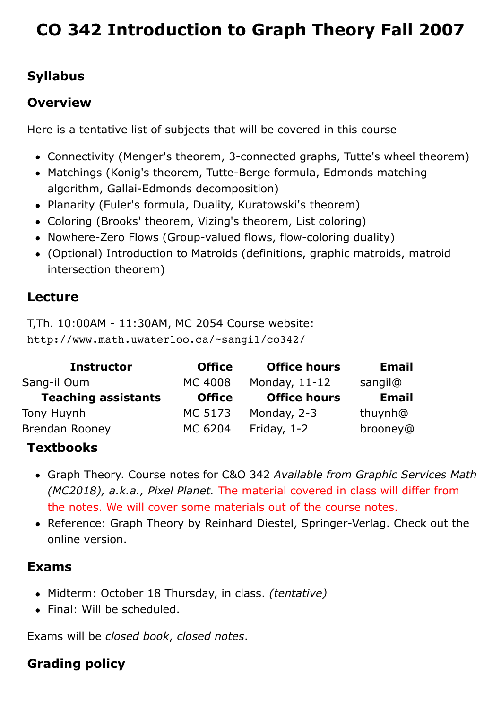# **[CO 342 Introduction to Graph Theory Fall 2007](http://www.math.uwaterloo.ca/~sangil/course/co342/)**

# **Syllabus**

#### **Overview**

Here is a tentative list of subjects that will be covered in this course

- Connectivity (Menger's theorem, 3-connected graphs, Tutte's wheel theorem)
- Matchings (Konig's theorem, Tutte-Berge formula, Edmonds matching algorithm, Gallai-Edmonds decomposition)
- Planarity (Euler's formula, Duality, Kuratowski's theorem)
- Coloring (Brooks' theorem, Vizing's theorem, List coloring)
- Nowhere-Zero Flows (Group-valued flows, flow-coloring duality)
- (Optional) Introduction to Matroids (definitions, graphic matroids, matroid intersection theorem)

#### **Lecture**

T,Th. 10:00AM - 11:30AM, MC 2054 Course website: http://www.math.uwaterloo.ca/~sangil/co342/

| <b>Instructor</b>          | <b>Office</b>  | <b>Office hours</b> | <b>Email</b> |
|----------------------------|----------------|---------------------|--------------|
| Sang-il Oum                | <b>MC 4008</b> | Monday, $11-12$     | sangil@      |
| <b>Teaching assistants</b> | <b>Office</b>  | <b>Office hours</b> | <b>Email</b> |
| Tony Huynh                 | MC 5173        | Monday, 2-3         | thuynh@      |
| <b>Brendan Rooney</b>      | MC 6204        | Friday, $1-2$       | brooney@     |

# **Textbooks**

- Graph Theory. Course notes for C&O 342 *Available from Graphic Services Math (MC2018), a.k.a., Pixel Planet.* The material covered in class will differ from the notes. We will cover some materials out of the course notes.
- Reference: [Graph Theory](http://www.math.uni-hamburg.de/home/diestel/books/graph.theory/) by Reinhard Diestel, Springer-Verlag. Check out the online version.

#### **Exams**

- Midterm: October 18 Thursday, in class. *(tentative)*
- Final: Will be scheduled.

Exams will be *closed book*, *closed notes*.

# **Grading policy**